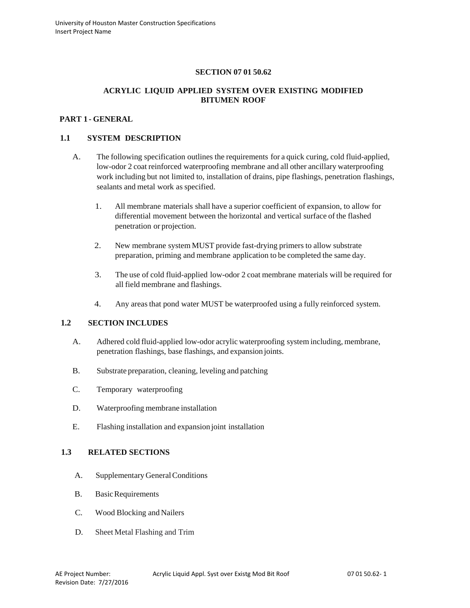# **SECTION 07 01 50.62**

# **ACRYLIC LIQUID APPLIED SYSTEM OVER EXISTING MODIFIED BITUMEN ROOF**

# **PART 1 - GENERAL**

### **1.1 SYSTEM DESCRIPTION**

- A. The following specification outlines the requirements for a quick curing, cold fluid-applied, low-odor 2 coat reinforced waterproofing membrane and all other ancillary waterproofing work including but not limited to, installation of drains, pipe flashings, penetration flashings, sealants and metal work as specified.
	- 1. All membrane materials shall have a superior coefficient of expansion, to allow for differential movement between the horizontal and vertical surface of the flashed penetration or projection.
	- 2. New membrane system MUST provide fast-drying primers to allow substrate preparation, priming and membrane application to be completed the same day.
	- 3. The use of cold fluid-applied low-odor 2 coat membrane materials will be required for all field membrane and flashings.
	- 4. Any areas that pond water MUST be waterproofed using a fully reinforced system.

#### **1.2 SECTION INCLUDES**

- A. Adhered cold fluid-applied low-odor acrylic waterproofing system including, membrane, penetration flashings, base flashings, and expansion joints.
- B. Substrate preparation, cleaning, leveling and patching
- C. Temporary waterproofing
- D. Waterproofing membrane installation
- E. Flashing installation and expansion joint installation

### **1.3 RELATED SECTIONS**

- A. Supplementary GeneralConditions
- B. Basic Requirements
- C. Wood Blocking and Nailers
- D. Sheet Metal Flashing and Trim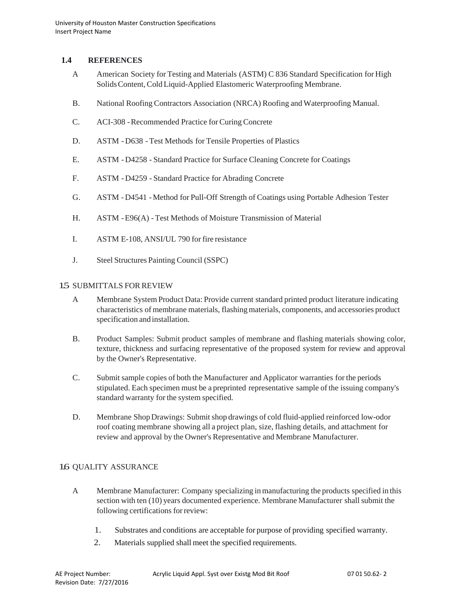# **1.4 REFERENCES**

- A American Society for Testing and Materials (ASTM) C 836 Standard Specification for High SolidsContent, ColdLiquid-Applied Elastomeric Waterproofing Membrane.
- B. National Roofing Contractors Association (NRCA) Roofing and Waterproofing Manual.
- C. ACI-308 -Recommended Practice forCuring Concrete
- D. ASTM -D638 -Test Methods for Tensile Properties of Plastics
- E. ASTM D4258 Standard Practice for Surface Cleaning Concrete for Coatings
- F. ASTM D4259 Standard Practice for Abrading Concrete
- G. ASTM D4541 -Method for Pull-Off Strength of Coatings using Portable Adhesion Tester
- H. ASTM -E96(A) -Test Methods of Moisture Transmission of Material
- I. ASTM E-108, ANSI/UL 790 forfire resistance
- J. Steel Structures Painting Council (SSPC)

#### 15 SUBMITTALS FOR REVIEW

- A Membrane SystemProduct Data: Provide current standard printed product literature indicating characteristics of membrane materials, flashing materials, components, and accessories product specification and installation.
- B. Product Samples: Submit product samples of membrane and flashing materials showing color, texture, thickness and surfacing representative of the proposed system for review and approval by the Owner's Representative.
- C. Submit sample copies of both the Manufacturer and Applicator warranties for the periods stipulated. Each specimen must be a preprinted representative sample of the issuing company's standard warranty for the system specified.
- D. Membrane Shop Drawings: Submit shop drawings of cold fluid-applied reinforced low-odor roof coating membrane showing all a project plan, size, flashing details, and attachment for review and approval by the Owner's Representative and Membrane Manufacturer.

# 1.6 QUALITY ASSURANCE

- A Membrane Manufacturer: Company specializing in manufacturing the products specified in this section with ten (10) years documented experience. Membrane Manufacturer shall submit the following certifications forreview:
	- 1. Substrates and conditions are acceptable for purpose of providing specified warranty.
	- 2. Materials supplied shall meet the specified requirements.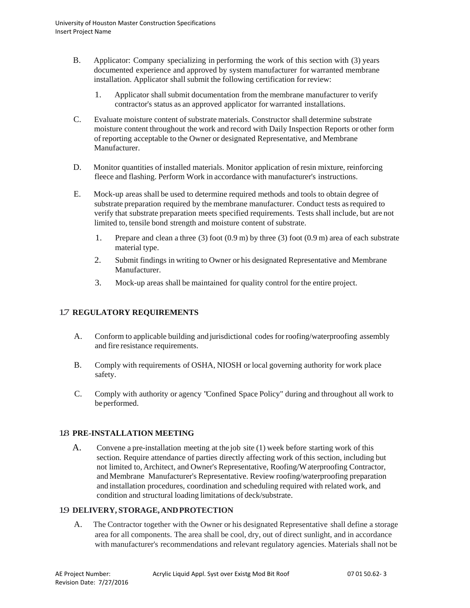- B. Applicator: Company specializing in performing the work of this section with (3) years documented experience and approved by system manufacturer for warranted membrane installation. Applicator shall submit the following certification forreview:
	- 1. Applicator shall submit documentation from the membrane manufacturer to verify contractor's status as an approved applicator for warranted installations.
- C. Evaluate moisture content of substrate materials. Constructor shall determine substrate moisture content throughout the work and record with Daily Inspection Reports or other form of reporting acceptable to the Owner or designated Representative, and Membrane Manufacturer.
- D. Monitor quantities of installed materials. Monitor application of resin mixture, reinforcing fleece and flashing. Perform Work in accordance with manufacturer's instructions.
- E. Mock-up areas shall be used to determine required methods and tools to obtain degree of substrate preparation required by the membrane manufacturer. Conduct tests asrequired to verify that substrate preparation meets specified requirements. Tests shall include, but are not limited to, tensile bond strength and moisture content of substrate.
	- 1. Prepare and clean a three (3) foot  $(0.9 \text{ m})$  by three (3) foot  $(0.9 \text{ m})$  area of each substrate material type.
	- 2. Submit findings in writing to Owner or his designated Representative and Membrane Manufacturer.
	- 3. Mock-up areas shall be maintained for quality control for the entire project.

# 1.7 **REGULATORY REQUIREMENTS**

- A. Conform to applicable building and jurisdictional codes for roofing/waterproofing assembly and fire resistance requirements.
- B. Comply with requirements of OSHA, NIOSH or local governing authority for work place safety.
- C. Comply with authority or agency "Confined Space Policy" during and throughout all work to be performed.

# 1.8 **PRE-INSTALLATION MEETING**

A. Convene a pre-installation meeting at the job site (1) week before starting work of this section. Require attendance of parties directly affecting work of this section, including but not limited to, Architect, and Owner's Representative, Roofing/Waterproofing Contractor, and Membrane Manufacturer's Representative. Review roofing/waterproofing preparation and installation procedures, coordination and scheduling required with related work, and condition and structural loading limitations of deck/substrate.

# 1.9 **DELIVERY, STORAGE,ANDPROTECTION**

A. The Contractor together with the Owner or his designated Representative shall define a storage area for all components. The area shall be cool, dry, out of direct sunlight, and in accordance with manufacturer's recommendations and relevant regulatory agencies. Materials shall not be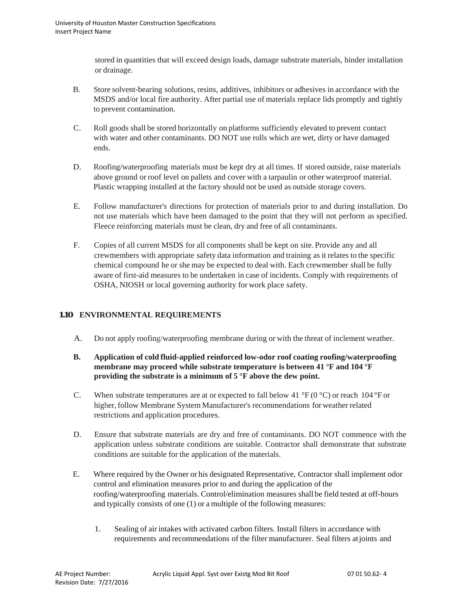stored in quantities that will exceed design loads, damage substrate materials, hinder installation or drainage.

- B. Store solvent-bearing solutions, resins, additives, inhibitors or adhesives in accordance with the MSDS and/or local fire authority. After partial use of materials replace lids promptly and tightly to prevent contamination.
- C. Roll goods shall be stored horizontally on platforms sufficiently elevated to prevent contact with water and other contaminants. DO NOT use rolls which are wet, dirty or have damaged ends.
- D. Roofing/waterproofing materials must be kept dry at all times. If stored outside, raise materials above ground or roof level on pallets and cover with a tarpaulin or other waterproof material. Plastic wrapping installed at the factory should not be used as outside storage covers.
- E. Follow manufacturer's directions for protection of materials prior to and during installation. Do not use materials which have been damaged to the point that they will not perform as specified. Fleece reinforcing materials must be clean, dry and free of all contaminants.
- F. Copies of all current MSDS for all components shall be kept on site. Provide any and all crewmembers with appropriate safety data information and training as it relates to the specific chemical compound he or she may be expected to deal with. Each crewmember shall be fully aware of first-aid measures to be undertaken in case of incidents. Comply with requirements of OSHA, NIOSH or local governing authority for work place safety.

# **1.10 ENVIRONMENTAL REQUIREMENTS**

A. Do not apply roofing/waterproofing membrane during or with the threat of inclement weather.

# **B. Application of cold fluid-applied reinforced low-odor roof coating roofing/waterproofing membrane may proceed while substrate temperature is between 41 °F and 104 °F providing the substrate is a minimum of 5 °F above the dew point.**

- C. When substrate temperatures are at or expected to fall below 41 °F (0 °C) or reach 104 °F or higher, follow Membrane System Manufacturer's recommendations for weather related restrictions and application procedures.
- D. Ensure that substrate materials are dry and free of contaminants. DO NOT commence with the application unless substrate conditions are suitable. Contractor shall demonstrate that substrate conditions are suitable for the application of the materials.
- E. Where required by the Owner or his designated Representative, Contractor shall implement odor control and elimination measures prior to and during the application of the roofing/waterproofing materials. Control/elimination measures shall be field tested at off-hours and typically consists of one (1) or a multiple of the following measures:
	- 1. Sealing of air intakes with activated carbon filters. Install filters in accordance with requirements and recommendations of the filter manufacturer. Seal filters atjoints and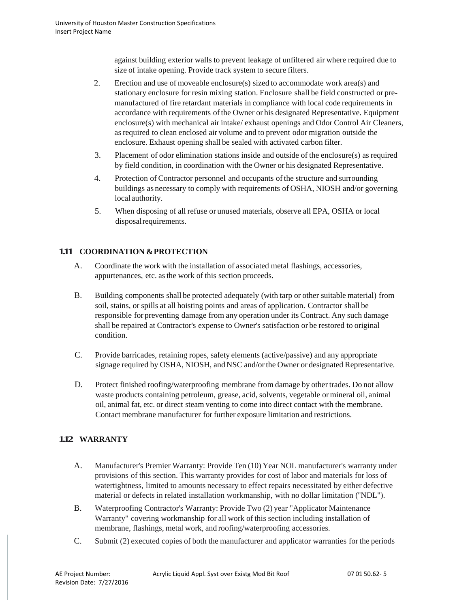against building exterior walls to prevent leakage of unfiltered air where required due to size of intake opening. Provide track system to secure filters.

- 2. Erection and use of moveable enclosure(s) sized to accommodate work area(s) and stationary enclosure for resin mixing station. Enclosure shall be field constructed or premanufactured of fire retardant materials in compliance with local code requirements in accordance with requirements of the Owner or his designated Representative. Equipment enclosure(s) with mechanical air intake/ exhaust openings and Odor Control Air Cleaners, asrequired to clean enclosed air volume and to prevent odor migration outside the enclosure. Exhaust opening shall be sealed with activated carbon filter.
- 3. Placement of odor elimination stations inside and outside of the enclosure(s) asrequired by field condition, in coordination with the Owner or his designated Representative.
- 4. Protection of Contractor personnel and occupants ofthe structure and surrounding buildings as necessary to comply with requirements of OSHA, NIOSH and/or governing local authority.
- 5. When disposing of all refuse or unused materials, observe all EPA, OSHA or local disposalrequirements.

# **1.11 COORDINATION &PROTECTION**

- A. Coordinate the work with the installation of associated metal flashings, accessories, appurtenances, etc. asthe work of this section proceeds.
- B. Building components shall be protected adequately (with tarp or other suitable material) from soil, stains, or spills at all hoisting points and areas of application. Contractor shall be responsible for preventing damage from any operation under its Contract. Any such damage shall be repaired at Contractor's expense to Owner's satisfaction or be restored to original condition.
- C. Provide barricades, retaining ropes, safety elements (active/passive) and any appropriate signage required by OSHA, NIOSH, and NSC and/orthe Owner or designated Representative.
- D. Protect finished roofing/waterproofing membrane from damage by other trades. Do not allow waste products containing petroleum, grease, acid, solvents, vegetable ormineral oil, animal oil, animal fat, etc. or direct steam venting to come into direct contact with the membrane. Contact membrane manufacturer for further exposure limitation and restrictions.

# **1.12 WARRANTY**

- A. Manufacturer's Premier Warranty: Provide Ten (10) Year NOL manufacturer's warranty under provisions of this section. This warranty provides for cost of labor and materials for loss of watertightness, limited to amounts necessary to effect repairs necessitated by either defective material or defects in related installation workmanship, with no dollar limitation (''NDL").
- B. Waterproofing Contractor's Warranty: Provide Two (2) year "Applicator Maintenance Warranty" covering workmanship for all work of this section including installation of membrane, flashings, metal work, and roofing/waterproofing accessories.
- C. Submit (2) executed copies of both the manufacturer and applicator warranties for the periods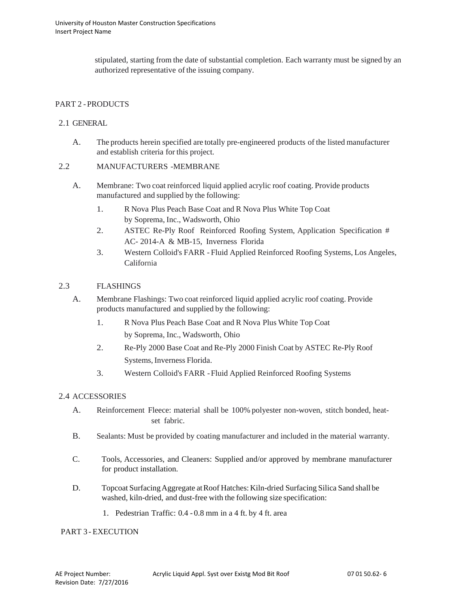stipulated, starting from the date of substantial completion. Each warranty must be signed by an authorized representative of the issuing company.

# PART 2 -PRODUCTS

### 2.1 GENERAL

A. The products herein specified are totally pre-engineered products of the listed manufacturer and establish criteria for this project.

### 2.2 MANUFACTURERS -MEMBRANE

- A. Membrane: Two coat reinforced liquid applied acrylic roof coating. Provide products manufactured and supplied by the following:
	- 1. R Nova Plus Peach Base Coat and R Nova Plus White Top Coat by Soprema, Inc., Wadsworth, Ohio
	- 2. ASTEC Re-Ply Roof Reinforced Roofing System, Application Specification # AC- 2014-A & MB-15, Inverness Florida
	- 3. Western Colloid's FARR Fluid Applied Reinforced Roofing Systems, Los Angeles, California

### 2.3 FLASHINGS

- A. Membrane Flashings: Two coat reinforced liquid applied acrylic roof coating. Provide products manufactured and supplied by the following:
	- 1. R Nova Plus Peach Base Coat and R Nova Plus White Top Coat by Soprema, Inc., Wadsworth, Ohio
	- 2. Re-Ply 2000 Base Coat and Re-Ply 2000 Finish Coat by ASTEC Re-Ply Roof Systems, Inverness Florida.
	- 3. Western Colloid's FARR -Fluid Applied Reinforced Roofing Systems

#### 2.4 ACCESSORIES

- A. Reinforcement Fleece: material shall be 100% polyester non-woven, stitch bonded, heatset fabric.
- B. Sealants: Must be provided by coating manufacturer and included in the material warranty.
- C. Tools, Accessories, and Cleaners: Supplied and/or approved by membrane manufacturer for product installation.
- D. Topcoat Surfacing Aggregate at Roof Hatches: Kiln-dried Surfacing Silica Sand shall be washed, kiln-dried, and dust-free with the following size specification:
	- 1. Pedestrian Traffic: 0.4 0.8 mm in a 4 ft. by 4 ft. area

#### PART 3 - EXECUTION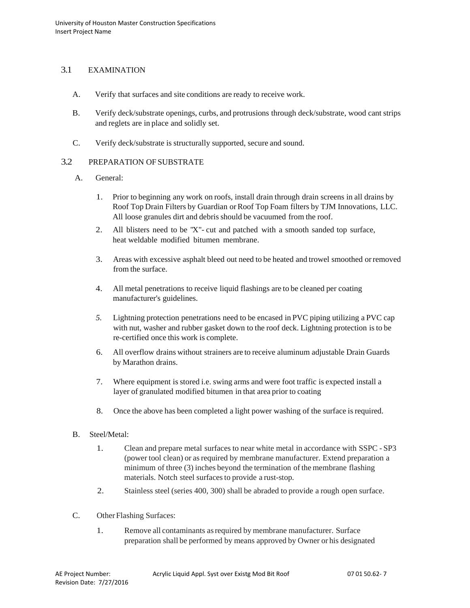# 3.1 EXAMINATION

- A. Verify that surfaces and site conditions are ready to receive work.
- B. Verify deck/substrate openings, curbs, and protrusions through deck/substrate, wood cant strips and reglets are in place and solidly set.
- C. Verify deck/substrate is structurally supported, secure and sound.

# 3.2 PREPARATION OF SUBSTRATE

- A. General:
	- 1. Prior to beginning any work on roofs, install drain through drain screens in all drains by Roof Top Drain Filters by Guardian or Roof Top Foam filters by TJM Innovations, LLC. All loose granules dirt and debris should be vacuumed from the roof.
	- 2. All blisters need to be "X"- cut and patched with a smooth sanded top surface, heat weldable modified bitumen membrane.
	- 3. Areas with excessive asphalt bleed out need to be heated and trowel smoothed orremoved from the surface.
	- 4. All metal penetrations to receive liquid flashings are to be cleaned per coating manufacturer's guidelines.
	- *5.* Lightning protection penetrations need to be encased in PVC piping utilizing a PVC cap with nut, washer and rubber gasket down to the roof deck. Lightning protection isto be re-certified once this work is complete.
	- 6. All overflow drains without strainers are to receive aluminum adjustable Drain Guards by Marathon drains.
	- 7. Where equipment is stored i.e. swing arms and were foot traffic is expected install a layer of granulated modified bitumen in that area prior to coating
	- 8. Once the above has been completed a light power washing of the surface is required.
- B. Steel/Metal:
	- 1. Clean and prepare metal surfaces to near white metal in accordance with SSPC SP3 (power tool clean) or asrequired by membrane manufacturer. Extend preparation a minimum of three (3) inches beyond the termination of the membrane flashing materials. Notch steel surfaces to provide a rust-stop.
	- 2. Stainless steel (series 400, 300) shall be abraded to provide a rough open surface.
- C. Other Flashing Surfaces:
	- 1. Remove all contaminants asrequired by membrane manufacturer. Surface preparation shall be performed by means approved by Owner or his designated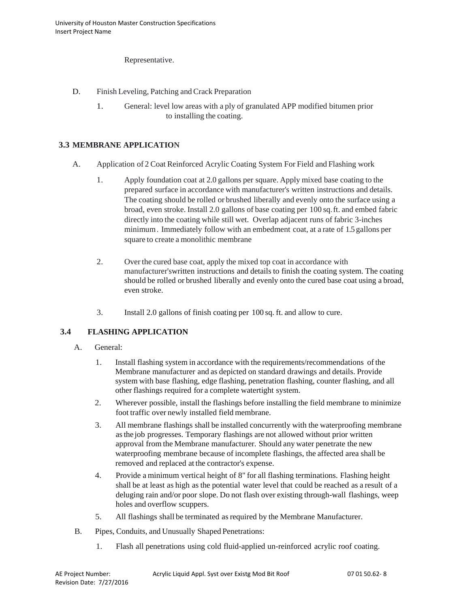Representative.

- D. Finish Leveling, Patching and Crack Preparation
	- 1. General: level low areas with a ply of granulated APP modified bitumen prior to installing the coating.

# **3.3 MEMBRANE APPLICATION**

- A. Application of 2 Coat Reinforced Acrylic Coating System For Field and Flashing work
	- 1. Apply foundation coat at 2.0 gallons per square. Apply mixed base coating to the prepared surface in accordance with manufacturer's written instructions and details. The coating should be rolled or brushed liberally and evenly onto the surface using a broad, even stroke. Install 2.0 gallons of base coating per 100 sq.ft. and embed fabric directly into the coating while still wet. Overlap adjacent runs of fabric 3-inches minimum. Immediately follow with an embedment coat, at a rate of 1.5 gallons per square to create a monolithic membrane
	- 2. Over the cured base coat, apply the mixed top coat in accordance with manufacturer'swritten instructions and details to finish the coating system. The coating should be rolled or brushed liberally and evenly onto the cured base coat using a broad, even stroke.
	- 3. Install 2.0 gallons of finish coating per 100 sq. ft. and allow to cure.

# **3.4 FLASHING APPLICATION**

- A. General:
	- 1. Install flashing system in accordance with the requirements/recommendations of the Membrane manufacturer and as depicted on standard drawings and details. Provide system with base flashing, edge flashing, penetration flashing, counter flashing, and all other flashings required for a complete watertight system.
	- 2. Wherever possible, install the flashings before installing the field membrane to minimize foot traffic over newly installed field membrane.
	- 3. All membrane flashings shall be installed concurrently with the waterproofing membrane asthe job progresses. Temporary flashings are not allowed without prior written approval from the Membrane manufacturer. Should any water penetrate the new waterproofing membrane because of incomplete flashings, the affected area shall be removed and replaced at the contractor's expense.
	- 4. Provide a minimum vertical height of 8" for all flashing terminations. Flashing height shall be at least as high as the potential water level that could be reached as a result of a deluging rain and/or poor slope. Do not flash over existing through-wall flashings, weep holes and overflow scuppers.
	- 5. All flashings shall be terminated asrequired by the Membrane Manufacturer.
- B. Pipes, Conduits, and Unusually Shaped Penetrations:
	- 1. Flash all penetrations using cold fluid-applied un-reinforced acrylic roof coating.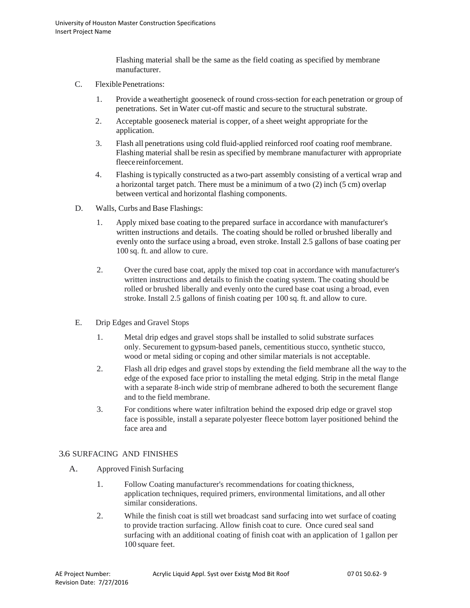Flashing material shall be the same as the field coating as specified by membrane manufacturer.

- C. Flexible Penetrations:
	- 1. Provide a weathertight gooseneck of round cross-section for each penetration or group of penetrations. Set in Water cut-off mastic and secure to the structural substrate.
	- 2. Acceptable gooseneck material is copper, of a sheet weight appropriate for the application.
	- 3. Flash all penetrations using cold fluid-applied reinforced roof coating roof membrane. Flashing material shall be resin as specified by membrane manufacturer with appropriate fleecereinforcement.
	- 4. Flashing istypically constructed as a two-part assembly consisting of a vertical wrap and a horizontal target patch. There must be a minimum of a two (2) inch (5 cm) overlap between vertical and horizontal flashing components.
- D. Walls, Curbs and Base Flashings:
	- 1. Apply mixed base coating to the prepared surface in accordance with manufacturer's written instructions and details. The coating should be rolled or brushed liberally and evenly onto the surface using a broad, even stroke. Install 2.5 gallons of base coating per 100 sq. ft. and allow to cure.
	- 2. Over the cured base coat, apply the mixed top coat in accordance with manufacturer's written instructions and details to finish the coating system. The coating should be rolled or brushed liberally and evenly onto the cured base coat using a broad, even stroke. Install 2.5 gallons of finish coating per 100 sq. ft. and allow to cure.
- E. Drip Edges and Gravel Stops
	- 1. Metal drip edges and gravel stops shall be installed to solid substrate surfaces only. Securement to gypsum-based panels, cementitious stucco, synthetic stucco, wood or metal siding or coping and other similar materials is not acceptable.
	- 2. Flash all drip edges and gravel stops by extending the field membrane all the way to the edge of the exposed face prior to installing the metal edging. Strip in the metal flange with a separate 8-inch wide strip of membrane adhered to both the securement flange and to the field membrane.
	- 3. For conditions where water infiltration behind the exposed drip edge or gravel stop face is possible, install a separate polyester fleece bottom layer positioned behind the face area and

# 3.6 SURFACING AND FINISHES

- A. Approved Finish Surfacing
	- 1. Follow Coating manufacturer's recommendations for coating thickness, application techniques, required primers, environmental limitations, and all other similar considerations.
	- 2. While the finish coat is still wet broadcast sand surfacing into wet surface of coating to provide traction surfacing. Allow finish coat to cure. Once cured seal sand surfacing with an additional coating of finish coat with an application of 1 gallon per 100 square feet.